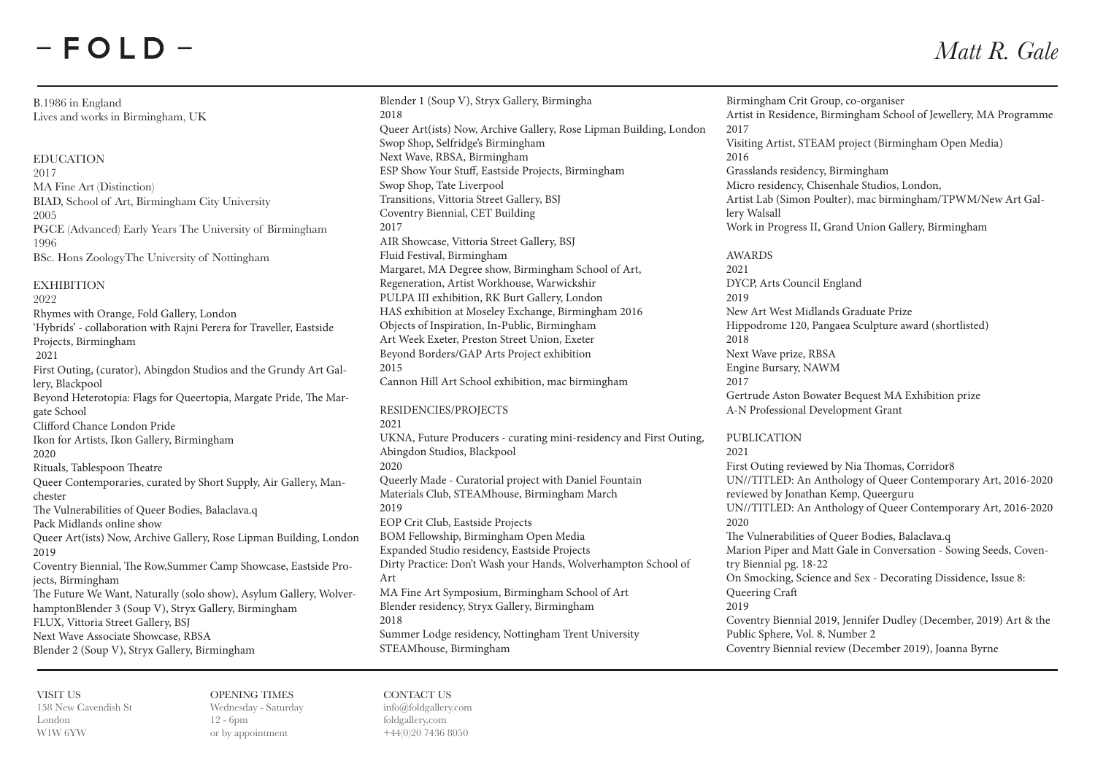## $-$  FOI D  $-$

B.1986 in England Lives and works in Birmingham, UK

EDUCATION 2017 MA Fine Art (Distinction) BIAD, School of Art, Birmingham City University 2005 PGCE (Advanced) Early Years The University of Birmingham 1996 BSc. Hons ZoologyThe University of Nottingham

**EXHIBITION** 

2022 Rhymes with Orange, Fold Gallery, London 'Hybrids' - collaboration with Rajni Perera for Traveller, Eastside Projects, Birmingham 2021 First Outing, (curator), Abingdon Studios and the Grundy Art Gallery, Blackpool Beyond Heterotopia: Flags for Queertopia, Margate Pride, The Margate School Clifford Chance London Pride Ikon for Artists, Ikon Gallery, Birmingham 2020 Rituals, Tablespoon Theatre Queer Contemporaries, curated by Short Supply, Air Gallery, Manchester The Vulnerabilities of Queer Bodies, Balaclava.q Pack Midlands online show Queer Art(ists) Now, Archive Gallery, Rose Lipman Building, London 2019 Coventry Biennial, The Row,Summer Camp Showcase, Eastside Projects, Birmingham The Future We Want, Naturally (solo show), Asylum Gallery, WolverhamptonBlender 3 (Soup V), Stryx Gallery, Birmingham FLUX, Vittoria Street Gallery, BSJ Next Wave Associate Showcase, RBSA Blender 2 (Soup V), Stryx Gallery, Birmingham

Blender 1 (Soup V), Stryx Gallery, Birmingha 2018 Queer Art(ists) Now, Archive Gallery, Rose Lipman Building, London Swop Shop, Selfridge's Birmingham Next Wave, RBSA, Birmingham ESP Show Your Stuff, Eastside Projects, Birmingham Swop Shop, Tate Liverpool Transitions, Vittoria Street Gallery, BSJ Coventry Biennial, CET Building 2017 AIR Showcase, Vittoria Street Gallery, BSJ Fluid Festival, Birmingham Margaret, MA Degree show, Birmingham School of Art, Regeneration, Artist Workhouse, Warwickshir PULPA III exhibition, RK Burt Gallery, London HAS exhibition at Moseley Exchange, Birmingham 2016 Objects of Inspiration, In-Public, Birmingham Art Week Exeter, Preston Street Union, Exeter Beyond Borders/GAP Arts Project exhibition 2015 Cannon Hill Art School exhibition, mac birmingham RESIDENCIES/PROJECTS 2021 UKNA, Future Producers - curating mini-residency and First Outing, Abingdon Studios, Blackpool 2020 Queerly Made - Curatorial project with Daniel Fountain Materials Club, STEAMhouse, Birmingham March

2019 EOP Crit Club, Eastside Projects BOM Fellowship, Birmingham Open Media Expanded Studio residency, Eastside Projects Dirty Practice: Don't Wash your Hands, Wolverhampton School of Art MA Fine Art Symposium, Birmingham School of Art Blender residency, Stryx Gallery, Birmingham 2018 Summer Lodge residency, Nottingham Trent University STEAMhouse, Birmingham

Birmingham Crit Group, co-organiser Artist in Residence, Birmingham School of Jewellery, MA Programme 2017 Visiting Artist, STEAM project (Birmingham Open Media) 2016 Grasslands residency, Birmingham Micro residency, Chisenhale Studios, London, Artist Lab (Simon Poulter), mac birmingham/TPWM/New Art Gallery Walsall Work in Progress II, Grand Union Gallery, Birmingham

AWARDS

2021 DYCP, Arts Council England 2019 New Art West Midlands Graduate Prize Hippodrome 120, Pangaea Sculpture award (shortlisted) 2018 Next Wave prize, RBSA Engine Bursary, NAWM 2017 Gertrude Aston Bowater Bequest MA Exhibition prize A-N Professional Development Grant

PUBLICATION

2021 First Outing reviewed by Nia Thomas, Corridor8 UN//TITLED: An Anthology of Queer Contemporary Art, 2016-2020 reviewed by Jonathan Kemp, Queerguru UN//TITLED: An Anthology of Queer Contemporary Art, 2016-2020 2020 The Vulnerabilities of Queer Bodies, Balaclava.q Marion Piper and Matt Gale in Conversation - Sowing Seeds, Coventry Biennial pg. 18-22 On Smocking, Science and Sex - Decorating Dissidence, Issue 8: Queering Craft 2019 Coventry Biennial 2019, Jennifer Dudley (December, 2019) Art & the Public Sphere, Vol. 8, Number 2 Coventry Biennial review (December 2019), Joanna Byrne

VISIT US

158 New Cavendish St London W1W 6YW

OPENING TIMES Wednesday - Saturday 12 - 6pm or by appointment

CONTACT US info@foldgallery.com foldgallery.com +44(0)20 7436 8050